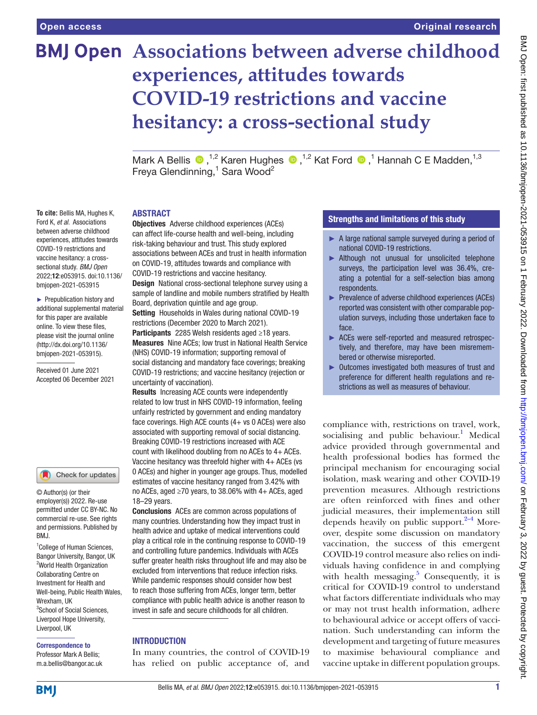# **BMJ Open** Associations between adverse childhood **experiences, attitudes towards COVID-19 restrictions and vaccine hesitancy: a cross-sectional study**

MarkA Bellis  $\bigcirc$ , <sup>1,2</sup> Karen Hughes  $\bigcirc$ , <sup>1,2</sup> Kat Ford  $\bigcirc$ , <sup>1</sup> Hannah C E Madden, <sup>1,3</sup> Freya Glendinning,<sup>1</sup> Sara Wood<sup>2</sup>

#### ABSTRACT

**To cite:** Bellis MA, Hughes K, Ford K, *et al*. Associations between adverse childhood experiences, attitudes towards COVID-19 restrictions and vaccine hesitancy: a crosssectional study. *BMJ Open* 2022;12:e053915. doi:10.1136/ bmjopen-2021-053915

► Prepublication history and additional supplemental material for this paper are available online. To view these files, please visit the journal online [\(http://dx.doi.org/10.1136/](http://dx.doi.org/10.1136/bmjopen-2021-053915) [bmjopen-2021-053915](http://dx.doi.org/10.1136/bmjopen-2021-053915)).

Received 01 June 2021 Accepted 06 December 2021



© Author(s) (or their employer(s)) 2022. Re-use permitted under CC BY-NC. No commercial re-use. See rights and permissions. Published by RM<sub>J</sub>

<sup>1</sup>College of Human Sciences, Bangor University, Bangor, UK <sup>2</sup>World Health Organization Collaborating Centre on Investment for Health and Well-being, Public Health Wales, Wrexham, IIK 3 School of Social Sciences, Liverpool Hope University, Liverpool, UK

# Correspondence to

Professor Mark A Bellis; m.a.bellis@bangor.ac.uk Objectives Adverse childhood experiences (ACEs) can affect life-course health and well-being, including risk-taking behaviour and trust. This study explored associations between ACEs and trust in health information on COVID-19, attitudes towards and compliance with COVID-19 restrictions and vaccine hesitancy.

Design National cross-sectional telephone survey using a sample of landline and mobile numbers stratified by Health Board, deprivation quintile and age group.

Setting Households in Wales during national COVID-19 restrictions (December 2020 to March 2021).

Participants 2285 Welsh residents aged ≥18 years. Measures Nine ACEs; low trust in National Health Service (NHS) COVID-19 information; supporting removal of social distancing and mandatory face coverings; breaking COVID-19 restrictions; and vaccine hesitancy (rejection or uncertainty of vaccination).

Results Increasing ACE counts were independently related to low trust in NHS COVID-19 information, feeling unfairly restricted by government and ending mandatory face coverings. High ACE counts (4+ vs 0 ACEs) were also associated with supporting removal of social distancing. Breaking COVID-19 restrictions increased with ACE count with likelihood doubling from no ACEs to 4+ ACEs. Vaccine hesitancy was threefold higher with 4+ ACEs (vs 0 ACEs) and higher in younger age groups. Thus, modelled estimates of vaccine hesitancy ranged from 3.42% with no ACEs, aged ≥70 years, to 38.06% with 4+ ACEs, aged 18–29 years.

Conclusions ACEs are common across populations of many countries. Understanding how they impact trust in health advice and uptake of medical interventions could play a critical role in the continuing response to COVID-19 and controlling future pandemics. Individuals with ACEs suffer greater health risks throughout life and may also be excluded from interventions that reduce infection risks. While pandemic responses should consider how best to reach those suffering from ACEs, longer term, better compliance with public health advice is another reason to invest in safe and secure childhoods for all children.

# **INTRODUCTION**

In many countries, the control of COVID-19 has relied on public acceptance of, and

# Strengths and limitations of this study

- ► A large national sample surveyed during a period of national COVID-19 restrictions.
- ▶ Although not unusual for unsolicited telephone surveys, the participation level was 36.4%, creating a potential for a self-selection bias among respondents.
- ► Prevalence of adverse childhood experiences (ACEs) reported was consistent with other comparable population surveys, including those undertaken face to face.
- ► ACEs were self-reported and measured retrospectively, and therefore, may have been misremembered or otherwise misreported.
- ► Outcomes investigated both measures of trust and preference for different health regulations and restrictions as well as measures of behaviour.

compliance with, restrictions on travel, work, socialising and public behaviour.<sup>[1](#page-8-0)</sup> Medical advice provided through governmental and health professional bodies has formed the principal mechanism for encouraging social isolation, mask wearing and other COVID-19 prevention measures. Although restrictions are often reinforced with fines and other judicial measures, their implementation still depends heavily on public support. $2-4$  Moreover, despite some discussion on mandatory vaccination, the success of this emergent COVID-19 control measure also relies on individuals having confidence in and complying with health messaging. $5$  Consequently, it is critical for COVID-19 control to understand what factors differentiate individuals who may or may not trust health information, adhere to behavioural advice or accept offers of vaccination. Such understanding can inform the development and targeting of future measures to maximise behavioural compliance and vaccine uptake in different population groups.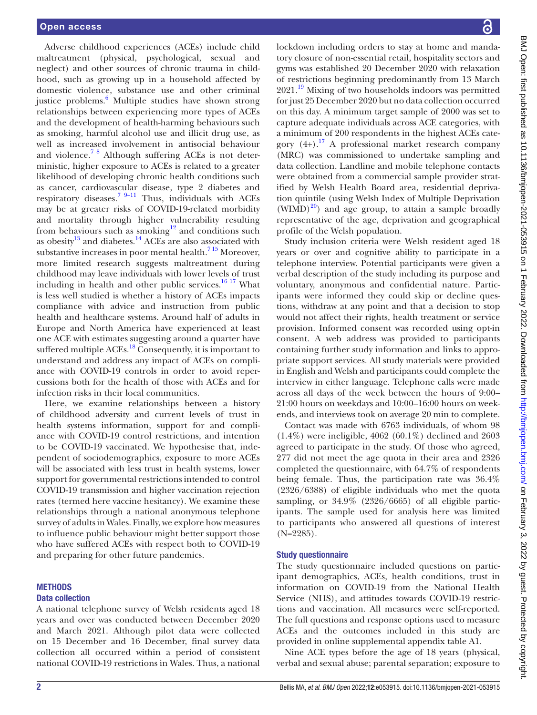Adverse childhood experiences (ACEs) include child maltreatment (physical, psychological, sexual and neglect) and other sources of chronic trauma in childhood, such as growing up in a household affected by domestic violence, substance use and other criminal justice problems.<sup>[6](#page-8-3)</sup> Multiple studies have shown strong relationships between experiencing more types of ACEs and the development of health-harming behaviours such as smoking, harmful alcohol use and illicit drug use, as well as increased involvement in antisocial behaviour and violence.<sup>78</sup> Although suffering ACEs is not deterministic, higher exposure to ACEs is related to a greater likelihood of developing chronic health conditions such as cancer, cardiovascular disease, type 2 diabetes and respiratory diseases.<sup>7 9–11</sup> Thus, individuals with ACEs may be at greater risks of COVID-19-related morbidity and mortality through higher vulnerability resulting from behaviours such as smoking<sup>[12](#page-8-5)</sup> and conditions such as obesity $^{13}$  and diabetes.<sup>14</sup> ACEs are also associated with substantive increases in poor mental health.<sup>715</sup> Moreover, more limited research suggests maltreatment during childhood may leave individuals with lower levels of trust including in health and other public services. $1617$  What is less well studied is whether a history of ACEs impacts compliance with advice and instruction from public health and healthcare systems. Around half of adults in Europe and North America have experienced at least one ACE with estimates suggesting around a quarter have suffered multiple ACEs.<sup>18</sup> Consequently, it is important to understand and address any impact of ACEs on compliance with COVID-19 controls in order to avoid repercussions both for the health of those with ACEs and for infection risks in their local communities.

Here, we examine relationships between a history of childhood adversity and current levels of trust in health systems information, support for and compliance with COVID-19 control restrictions, and intention to be COVID-19 vaccinated. We hypothesise that, independent of sociodemographics, exposure to more ACEs will be associated with less trust in health systems, lower support for governmental restrictions intended to control COVID-19 transmission and higher vaccination rejection rates (termed here vaccine hesitancy). We examine these relationships through a national anonymous telephone survey of adults in Wales. Finally, we explore how measures to influence public behaviour might better support those who have suffered ACEs with respect both to COVID-19 and preparing for other future pandemics.

## **METHODS**

#### Data collection

A national telephone survey of Welsh residents aged 18 years and over was conducted between December 2020 and March 2021. Although pilot data were collected on 15 December and 16 December, final survey data collection all occurred within a period of consistent national COVID-19 restrictions in Wales. Thus, a national BMJ Open: first published as 10.1136/bmijopen-2021-053915 on 1 February 2022. Downloaded from http://bmjopen.bmj.com/ on February 3, 2022 by guest. Protected by copyright BMJ Open: first published as 10.1136/bmjopen-2021-053915 on 1 February 2022. Downloaded from <http://bmjopen.bmj.com/> on February 3, 2022 by guest. Protected by copyright.

lockdown including orders to stay at home and mandatory closure of non-essential retail, hospitality sectors and gyms was established 20 December 2020 with relaxation of restrictions beginning predominantly from 13 March 2021.<sup>19</sup> Mixing of two households indoors was permitted for just 25 December 2020 but no data collection occurred on this day. A minimum target sample of 2000 was set to capture adequate individuals across ACE categories, with a minimum of 200 respondents in the highest ACEs category  $(4+)$ .<sup>17</sup> A professional market research company (MRC) was commissioned to undertake sampling and data collection. Landline and mobile telephone contacts were obtained from a commercial sample provider stratified by Welsh Health Board area, residential deprivation quintile (using Welsh Index of Multiple Deprivation  $(WIMD)^{20}$  $(WIMD)^{20}$  $(WIMD)^{20}$  and age group, to attain a sample broadly representative of the age, deprivation and geographical profile of the Welsh population.

Study inclusion criteria were Welsh resident aged 18 years or over and cognitive ability to participate in a telephone interview. Potential participants were given a verbal description of the study including its purpose and voluntary, anonymous and confidential nature. Participants were informed they could skip or decline questions, withdraw at any point and that a decision to stop would not affect their rights, health treatment or service provision. Informed consent was recorded using opt-in consent. A web address was provided to participants containing further study information and links to appropriate support services. All study materials were provided in English and Welsh and participants could complete the interview in either language. Telephone calls were made across all days of the week between the hours of 9:00– 21:00 hours on weekdays and 10:00–16:00 hours on weekends, and interviews took on average 20 min to complete.

Contact was made with 6763 individuals, of whom 98 (1.4%) were ineligible, 4062 (60.1%) declined and 2603 agreed to participate in the study. Of those who agreed, 277 did not meet the age quota in their area and 2326 completed the questionnaire, with 64.7% of respondents being female. Thus, the participation rate was 36.4% (2326/6388) of eligible individuals who met the quota sampling, or 34.9% (2326/6665) of all eligible participants. The sample used for analysis here was limited to participants who answered all questions of interest  $(N=2285)$ .

# Study questionnaire

The study questionnaire included questions on participant demographics, ACEs, health conditions, trust in information on COVID-19 from the National Health Service (NHS), and attitudes towards COVID-19 restrictions and vaccination. All measures were self-reported. The full questions and response options used to measure ACEs and the outcomes included in this study are provided in [online supplemental appendix table A1](https://dx.doi.org/10.1136/bmjopen-2021-053915).

Nine ACE types before the age of 18 years (physical, verbal and sexual abuse; parental separation; exposure to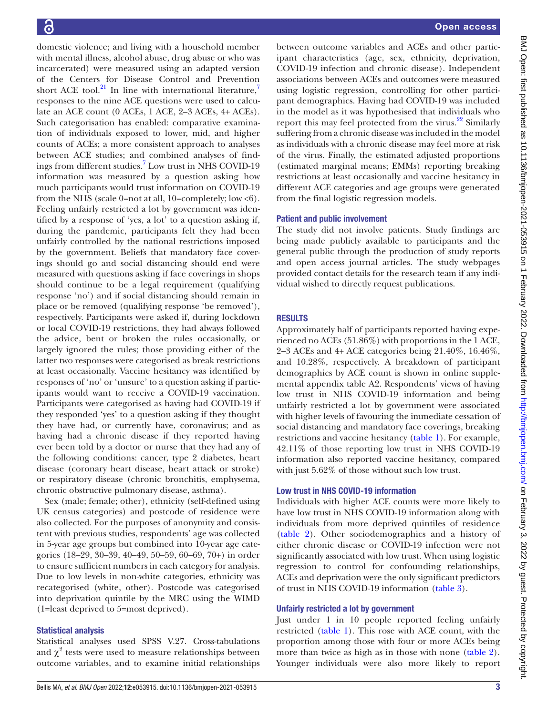domestic violence; and living with a household member with mental illness, alcohol abuse, drug abuse or who was incarcerated) were measured using an adapted version of the Centers for Disease Control and Prevention short ACE tool. $^{21}$  $^{21}$  $^{21}$  In line with international literature,<sup>[7](#page-8-4)</sup> responses to the nine ACE questions were used to calculate an ACE count (0 ACEs, 1 ACE, 2–3 ACEs, 4+ ACEs). Such categorisation has enabled: comparative examination of individuals exposed to lower, mid, and higher counts of ACEs; a more consistent approach to analyses between ACE studies; and combined analyses of find-ings from different studies.<sup>[7](#page-8-4)</sup> Low trust in NHS COVID-19 information was measured by a question asking how much participants would trust information on COVID-19 from the NHS (scale 0=not at all, 10=completely; low  $< 6$ ). Feeling unfairly restricted a lot by government was identified by a response of 'yes, a lot' to a question asking if, during the pandemic, participants felt they had been unfairly controlled by the national restrictions imposed by the government. Beliefs that mandatory face coverings should go and social distancing should end were measured with questions asking if face coverings in shops should continue to be a legal requirement (qualifying response 'no') and if social distancing should remain in place or be removed (qualifying response 'be removed'), respectively. Participants were asked if, during lockdown or local COVID-19 restrictions, they had always followed the advice, bent or broken the rules occasionally, or largely ignored the rules; those providing either of the latter two responses were categorised as break restrictions at least occasionally. Vaccine hesitancy was identified by responses of 'no' or 'unsure' to a question asking if participants would want to receive a COVID-19 vaccination. Participants were categorised as having had COVID-19 if they responded 'yes' to a question asking if they thought they have had, or currently have, coronavirus; and as having had a chronic disease if they reported having ever been told by a doctor or nurse that they had any of the following conditions: cancer, type 2 diabetes, heart disease (coronary heart disease, heart attack or stroke) or respiratory disease (chronic bronchitis, emphysema, chronic obstructive pulmonary disease, asthma).

Sex (male; female; other), ethnicity (self-defined using UK census categories) and postcode of residence were also collected. For the purposes of anonymity and consistent with previous studies, respondents' age was collected in 5-year age groups but combined into 10-year age categories (18–29, 30–39, 40–49, 50–59, 60–69, 70+) in order to ensure sufficient numbers in each category for analysis. Due to low levels in non-white categories, ethnicity was recategorised (white, other). Postcode was categorised into deprivation quintile by the MRC using the WIMD (1=least deprived to 5=most deprived).

# Statistical analysis

Statistical analyses used SPSS V.27. Cross-tabulations and  $\chi^2$  tests were used to measure relationships between outcome variables, and to examine initial relationships

between outcome variables and ACEs and other participant characteristics (age, sex, ethnicity, deprivation, COVID-19 infection and chronic disease). Independent associations between ACEs and outcomes were measured using logistic regression, controlling for other participant demographics. Having had COVID-19 was included in the model as it was hypothesised that individuals who report this may feel protected from the virus.<sup>22</sup> Similarly suffering from a chronic disease was included in the model as individuals with a chronic disease may feel more at risk of the virus. Finally, the estimated adjusted proportions (estimated marginal means; EMMs) reporting breaking restrictions at least occasionally and vaccine hesitancy in different ACE categories and age groups were generated from the final logistic regression models.

## Patient and public involvement

The study did not involve patients. Study findings are being made publicly available to participants and the general public through the production of study reports and open access journal articles. The study webpages provided contact details for the research team if any individual wished to directly request publications.

# RESULTS

Approximately half of participants reported having experienced no ACEs (51.86%) with proportions in the 1 ACE, 2–3 ACEs and 4+ ACE categories being 21.40%, 16.46%, and 10.28%, respectively. A breakdown of participant demographics by ACE count is shown in [online supple](https://dx.doi.org/10.1136/bmjopen-2021-053915)[mental appendix table A2.](https://dx.doi.org/10.1136/bmjopen-2021-053915) Respondents' views of having low trust in NHS COVID-19 information and being unfairly restricted a lot by government were associated with higher levels of favouring the immediate cessation of social distancing and mandatory face coverings, breaking restrictions and vaccine hesitancy ([table](#page-3-0) 1). For example, 42.11% of those reporting low trust in NHS COVID-19 information also reported vaccine hesitancy, compared with just 5.62% of those without such low trust.

# Low trust in NHS COVID-19 information

Individuals with higher ACE counts were more likely to have low trust in NHS COVID-19 information along with individuals from more deprived quintiles of residence [\(table](#page-4-0) 2). Other sociodemographics and a history of either chronic disease or COVID-19 infection were not significantly associated with low trust. When using logistic regression to control for confounding relationships, ACEs and deprivation were the only significant predictors of trust in NHS COVID-19 information [\(table](#page-5-0) 3).

# Unfairly restricted a lot by government

Just under 1 in 10 people reported feeling unfairly restricted [\(table](#page-3-0) 1). This rose with ACE count, with the proportion among those with four or more ACEs being more than twice as high as in those with none ([table](#page-4-0) 2). Younger individuals were also more likely to report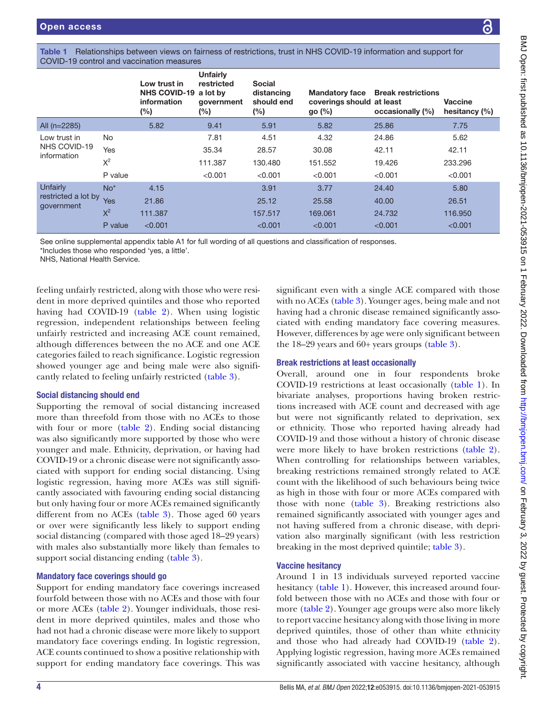<span id="page-3-0"></span>

| Table 1 Relationships between views on fairness of restrictions, trust in NHS COVID-19 information and support for |  |
|--------------------------------------------------------------------------------------------------------------------|--|
| COVID-19 control and vaccination measures                                                                          |  |

|                                   |         | Low trust in<br>NHS COVID-19 a lot by<br>information<br>(%) | <b>Unfairly</b><br>restricted<br>government<br>$(\%)$ | <b>Social</b><br>distancing<br>should end<br>$(\%)$ | <b>Mandatory face</b><br>coverings should at least<br>go $(\%)$ | <b>Break restrictions</b><br>occasionally (%) | <b>Vaccine</b><br>hesitancy $(\% )$ |
|-----------------------------------|---------|-------------------------------------------------------------|-------------------------------------------------------|-----------------------------------------------------|-----------------------------------------------------------------|-----------------------------------------------|-------------------------------------|
| All $(n=2285)$                    |         | 5.82                                                        | 9.41                                                  | 5.91                                                | 5.82                                                            | 25.86                                         | 7.75                                |
| Low trust in                      | No      |                                                             | 7.81                                                  | 4.51                                                | 4.32                                                            | 24.86                                         | 5.62                                |
| NHS COVID-19<br>information       | Yes     |                                                             | 35.34                                                 | 28.57                                               | 30.08                                                           | 42.11                                         | 42.11                               |
|                                   | $X^2$   |                                                             | 111.387                                               | 130.480                                             | 151.552                                                         | 19.426                                        | 233.296                             |
|                                   | P value |                                                             | < 0.001                                               | < 0.001                                             | < 0.001                                                         | < 0.001                                       | < 0.001                             |
| Unfairly                          | $No*$   | 4.15                                                        |                                                       | 3.91                                                | 3.77                                                            | 24.40                                         | 5.80                                |
| restricted a lot by<br>government | Yes     | 21.86                                                       |                                                       | 25.12                                               | 25.58                                                           | 40.00                                         | 26.51                               |
|                                   | $X^2$   | 111.387                                                     |                                                       | 157.517                                             | 169.061                                                         | 24.732                                        | 116,950                             |
|                                   | P value | < 0.001                                                     |                                                       | < 0.001                                             | < 0.001                                                         | < 0.001                                       | < 0.001                             |

See [online supplemental appendix table A1](https://dx.doi.org/10.1136/bmjopen-2021-053915) for full wording of all questions and classification of responses.

\*Includes those who responded 'yes, a little'.

NHS, National Health Service.

feeling unfairly restricted, along with those who were resident in more deprived quintiles and those who reported having had COVID-19 [\(table](#page-4-0) 2). When using logistic regression, independent relationships between feeling unfairly restricted and increasing ACE count remained, although differences between the no ACE and one ACE categories failed to reach significance. Logistic regression showed younger age and being male were also significantly related to feeling unfairly restricted [\(table](#page-5-0) 3).

## Social distancing should end

Supporting the removal of social distancing increased more than threefold from those with no ACEs to those with four or more [\(table](#page-4-0) 2). Ending social distancing was also significantly more supported by those who were younger and male. Ethnicity, deprivation, or having had COVID-19 or a chronic disease were not significantly associated with support for ending social distancing. Using logistic regression, having more ACEs was still significantly associated with favouring ending social distancing but only having four or more ACEs remained significantly different from no ACEs [\(table](#page-5-0) 3). Those aged 60 years or over were significantly less likely to support ending social distancing (compared with those aged 18–29 years) with males also substantially more likely than females to support social distancing ending ([table](#page-5-0) 3).

## Mandatory face coverings should go

Support for ending mandatory face coverings increased fourfold between those with no ACEs and those with four or more ACEs ([table](#page-4-0) 2). Younger individuals, those resident in more deprived quintiles, males and those who had not had a chronic disease were more likely to support mandatory face coverings ending. In logistic regression, ACE counts continued to show a positive relationship with support for ending mandatory face coverings. This was

significant even with a single ACE compared with those with no ACEs [\(table](#page-5-0) 3). Younger ages, being male and not having had a chronic disease remained significantly associated with ending mandatory face covering measures. However, differences by age were only significant between the 18–29 years and 60+ years groups ([table](#page-5-0) 3).

# Break restrictions at least occasionally

Overall, around one in four respondents broke COVID-19 restrictions at least occasionally ([table](#page-3-0) 1). In bivariate analyses, proportions having broken restrictions increased with ACE count and decreased with age but were not significantly related to deprivation, sex or ethnicity. Those who reported having already had COVID-19 and those without a history of chronic disease were more likely to have broken restrictions ([table](#page-4-0) 2). When controlling for relationships between variables, breaking restrictions remained strongly related to ACE count with the likelihood of such behaviours being twice as high in those with four or more ACEs compared with those with none [\(table](#page-5-0) 3). Breaking restrictions also remained significantly associated with younger ages and not having suffered from a chronic disease, with deprivation also marginally significant (with less restriction breaking in the most deprived quintile; [table](#page-5-0) 3).

# Vaccine hesitancy

Around 1 in 13 individuals surveyed reported vaccine hesitancy [\(table](#page-3-0) 1). However, this increased around fourfold between those with no ACEs and those with four or more ([table](#page-4-0) 2). Younger age groups were also more likely to report vaccine hesitancy along with those living in more deprived quintiles, those of other than white ethnicity and those who had already had COVID-19 ([table](#page-4-0) 2). Applying logistic regression, having more ACEs remained significantly associated with vaccine hesitancy, although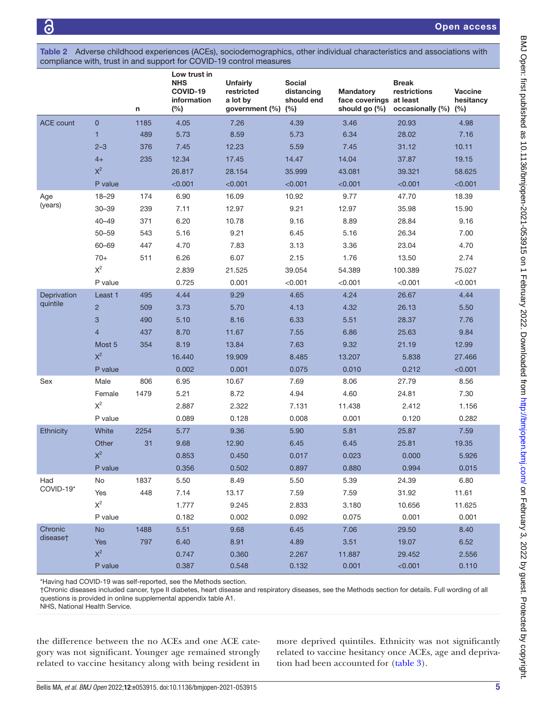<span id="page-4-0"></span>Table 2 Adverse childhood experiences (ACEs), sociodemographics, other individual characteristics and associations with compliance with, trust in and support for COVID-19 control measures

|                  |                | n    | Low trust in<br><b>NHS</b><br>COVID-19<br>information<br>(%) | <b>Unfairly</b><br>restricted<br>a lot by<br>government $(\%)$ $(\%)$ | <b>Social</b><br>distancing<br>should end | <b>Mandatory</b><br>face coverings at least<br>should go (%) | <b>Break</b><br>restrictions<br>occasionally (%) | <b>Vaccine</b><br>hesitancy<br>(%) |
|------------------|----------------|------|--------------------------------------------------------------|-----------------------------------------------------------------------|-------------------------------------------|--------------------------------------------------------------|--------------------------------------------------|------------------------------------|
| <b>ACE count</b> | $\mathbf 0$    | 1185 | 4.05                                                         | 7.26                                                                  | 4.39                                      | 3.46                                                         | 20.93                                            | 4.98                               |
|                  | $\mathbf{1}$   | 489  | 5.73                                                         | 8.59                                                                  | 5.73                                      | 6.34                                                         | 28.02                                            | 7.16                               |
|                  | $2 - 3$        | 376  | 7.45                                                         | 12.23                                                                 | 5.59                                      | 7.45                                                         | 31.12                                            | 10.11                              |
|                  | $4+$           | 235  | 12.34                                                        | 17.45                                                                 | 14.47                                     | 14.04                                                        | 37.87                                            | 19.15                              |
|                  | $X^2$          |      | 26.817                                                       | 28.154                                                                | 35.999                                    | 43.081                                                       | 39.321                                           | 58.625                             |
|                  | P value        |      | < 0.001                                                      | < 0.001                                                               | < 0.001                                   | < 0.001                                                      | < 0.001                                          | < 0.001                            |
| Age              | $18 - 29$      | 174  | 6.90                                                         | 16.09                                                                 | 10.92                                     | 9.77                                                         | 47.70                                            | 18.39                              |
| (years)          | $30 - 39$      | 239  | 7.11                                                         | 12.97                                                                 | 9.21                                      | 12.97                                                        | 35.98                                            | 15.90                              |
|                  | $40 - 49$      | 371  | 6.20                                                         | 10.78                                                                 | 9.16                                      | 8.89                                                         | 28.84                                            | 9.16                               |
|                  | $50 - 59$      | 543  | 5.16                                                         | 9.21                                                                  | 6.45                                      | 5.16                                                         | 26.34                                            | 7.00                               |
|                  | 60-69          | 447  | 4.70                                                         | 7.83                                                                  | 3.13                                      | 3.36                                                         | 23.04                                            | 4.70                               |
|                  | $70+$          | 511  | 6.26                                                         | 6.07                                                                  | 2.15                                      | 1.76                                                         | 13.50                                            | 2.74                               |
|                  | $\mathsf{X}^2$ |      | 2.839                                                        | 21.525                                                                | 39.054                                    | 54.389                                                       | 100.389                                          | 75.027                             |
|                  | P value        |      | 0.725                                                        | 0.001                                                                 | < 0.001                                   | < 0.001                                                      | < 0.001                                          | < 0.001                            |
| Deprivation      | Least 1        | 495  | 4.44                                                         | 9.29                                                                  | 4.65                                      | 4.24                                                         | 26.67                                            | 4.44                               |
| quintile         | $\overline{2}$ | 509  | 3.73                                                         | 5.70                                                                  | 4.13                                      | 4.32                                                         | 26.13                                            | 5.50                               |
|                  | 3              | 490  | 5.10                                                         | 8.16                                                                  | 6.33                                      | 5.51                                                         | 28.37                                            | 7.76                               |
|                  | $\overline{4}$ | 437  | 8.70                                                         | 11.67                                                                 | 7.55                                      | 6.86                                                         | 25.63                                            | 9.84                               |
|                  | Most 5         | 354  | 8.19                                                         | 13.84                                                                 | 7.63                                      | 9.32                                                         | 21.19                                            | 12.99                              |
|                  | $X^2$          |      | 16.440                                                       | 19.909                                                                | 8.485                                     | 13.207                                                       | 5.838                                            | 27.466                             |
|                  | P value        |      | 0.002                                                        | 0.001                                                                 | 0.075                                     | 0.010                                                        | 0.212                                            | < 0.001                            |
| Sex              | Male           | 806  | 6.95                                                         | 10.67                                                                 | 7.69                                      | 8.06                                                         | 27.79                                            | 8.56                               |
|                  | Female         | 1479 | 5.21                                                         | 8.72                                                                  | 4.94                                      | 4.60                                                         | 24.81                                            | 7.30                               |
|                  | $\mathsf{X}^2$ |      | 2.887                                                        | 2.322                                                                 | 7.131                                     | 11.438                                                       | 2.412                                            | 1.156                              |
|                  | P value        |      | 0.089                                                        | 0.128                                                                 | 0.008                                     | 0.001                                                        | 0.120                                            | 0.282                              |
| Ethnicity        | White          | 2254 | 5.77                                                         | 9.36                                                                  | 5.90                                      | 5.81                                                         | 25.87                                            | 7.59                               |
|                  | Other          | 31   | 9.68                                                         | 12.90                                                                 | 6.45                                      | 6.45                                                         | 25.81                                            | 19.35                              |
|                  | $X^2$          |      | 0.853                                                        | 0.450                                                                 | 0.017                                     | 0.023                                                        | 0.000                                            | 5.926                              |
|                  | P value        |      | 0.356                                                        | 0.502                                                                 | 0.897                                     | 0.880                                                        | 0.994                                            | 0.015                              |
| Had              | No             | 1837 | 5.50                                                         | 8.49                                                                  | 5.50                                      | 5.39                                                         | 24.39                                            | 6.80                               |
| COVID-19*        | Yes            | 448  | 7.14                                                         | 13.17                                                                 | 7.59                                      | 7.59                                                         | 31.92                                            | 11.61                              |
|                  | $\mathsf{X}^2$ |      | 1.777                                                        | 9.245                                                                 | 2.833                                     | 3.180                                                        | 10.656                                           | 11.625                             |
|                  | P value        |      | 0.182                                                        | 0.002                                                                 | 0.092                                     | 0.075                                                        | 0.001                                            | 0.001                              |
| Chronic          | <b>No</b>      | 1488 | 5.51                                                         | 9.68                                                                  | 6.45                                      | 7.06                                                         | 29.50                                            | 8.40                               |
| disease†         | Yes            | 797  | 6.40                                                         | 8.91                                                                  | 4.89                                      | 3.51                                                         | 19.07                                            | 6.52                               |
|                  | $X^2$          |      | 0.747                                                        | 0.360                                                                 | 2.267                                     | 11.887                                                       | 29.452                                           | 2.556                              |
|                  | P value        |      | 0.387                                                        | 0.548                                                                 | 0.132                                     | 0.001                                                        | < 0.001                                          | 0.110                              |

\*Having had COVID-19 was self-reported, see the Methods section.

†Chronic diseases included cancer, type II diabetes, heart disease and respiratory diseases, see the Methods section for details. Full wording of all questions is provided in [online supplemental appendix table A1](https://dx.doi.org/10.1136/bmjopen-2021-053915).

NHS, National Health Service.

the difference between the no ACEs and one ACE category was not significant. Younger age remained strongly related to vaccine hesitancy along with being resident in

more deprived quintiles. Ethnicity was not significantly related to vaccine hesitancy once ACEs, age and deprivation had been accounted for [\(table](#page-5-0) 3).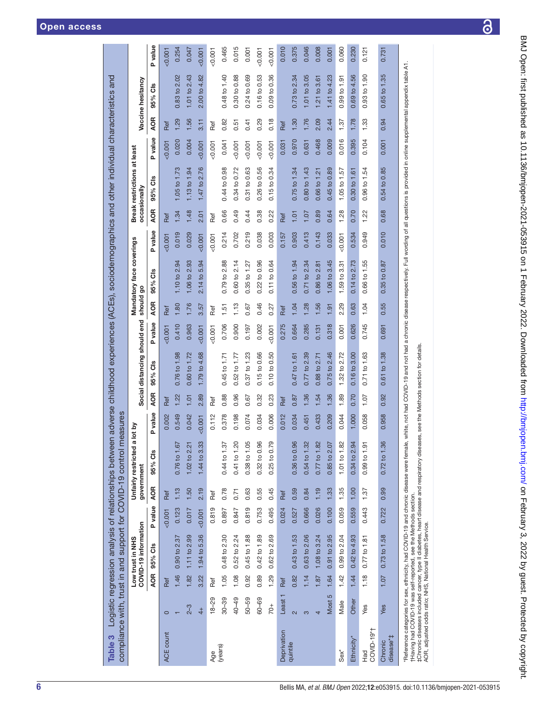| Table 3                               |                    |            | compliance with, trust in and support for COVID-19 control                            |         |            |                               | measures       |            |                              |         |            |                          |            |            | Logistic regression analysis of relationships between adverse childhood experiences (ACEs), sociodemographics and other individual characteristics and    |          |            |                   |                |
|---------------------------------------|--------------------|------------|---------------------------------------------------------------------------------------|---------|------------|-------------------------------|----------------|------------|------------------------------|---------|------------|--------------------------|------------|------------|-----------------------------------------------------------------------------------------------------------------------------------------------------------|----------|------------|-------------------|----------------|
|                                       |                    |            | COVID-19 information<br>Low trust in NHS                                              |         | government | Unfairly restricted           | a lot by       |            | Social distancing should end |         | should go  | Mandatory face coverings |            |            | Break restrictions at least<br>occasionally                                                                                                               |          |            | Vaccine hesitancy |                |
|                                       |                    | <b>AOR</b> | 95% Cls                                                                               | P value | <b>AOR</b> | 95% Cls                       | <b>P</b> value | <b>AOR</b> | 95% Cls                      | P value | <b>AOR</b> | <b>as</b><br>95%         | value<br>Δ | <b>AOR</b> | ő<br>95%                                                                                                                                                  | P value  | <b>AOR</b> | 95% Cls           | <b>P</b> value |
| ACE count                             | $\circ$            | Ref        |                                                                                       | 0.001   | Ref        |                               | 0.002          | Ref        |                              | 0.001   | Ref        |                          | 0.001      | Ref        |                                                                                                                                                           | $-0.001$ | Ref        |                   | 0.007          |
|                                       |                    | 1.46       | 0.90 to 2.37                                                                          | 0.123   | 1.13       | $\overline{ }$<br>0.76 to 1.6 | 0.549          | 1.22       | 0.76 to 1.98                 | 0.410   | 1.80       | 1.10 to 2.94             | 0.019      | 1.34       | 1.05 to 1.73                                                                                                                                              | 0.020    | 1.29       | 0.83 to 2.02      | 0.254          |
|                                       | $2 - 3$            | 1.82       | 1.11 to 2.99                                                                          | 0.017   | 1.50       | 1.02 to 2.21                  | 0.042          | $-1.01$    | 0.60 to 1.72                 | 0.963   | 1.76       | 1.06 to 2.93             | 0.029      | 1.48       | 1.13 to 1.94                                                                                                                                              | 0.004    | 1.56       | 1.01 to 2.43      | 0.047          |
|                                       | $rac{1}{4}$        | 3.22       | 1.94 to 5.36                                                                          | 0.001   | 2.19       | S<br>1.44 to 3.3              | 0.007          | 2.89       | 1.79 to 4.68                 | 0.007   | 3.57       | 2.14 to 5.94             | 0.007      | 2.01       | 1.47 to 2.76                                                                                                                                              | 50.001   | 3.11       | 2.00 to 4.82      | $-0.001$       |
| Age                                   | $18 - 29$          | Ref        |                                                                                       | 0.819   | Ref        |                               | 0.112          | Ref        |                              | 0.001   | Ref        |                          | 0.001      | Ref        |                                                                                                                                                           | 0.001    | Ref        |                   | 0.001          |
| (years)                               | $30 - 39$          | 1.05       | 0.48 to 2.30                                                                          | 0.897   | 0.78       | 0.44 to 1.37                  | 0.378          | 0.88       | 0.45 to 1.71                 | 0.706   | 1.51       | 0.79 to 2.88             | 0.214      | 0.66       | 0.44 to 0.98                                                                                                                                              | 0.041    | 0.82       | 0.48 to 1.40      | 0.465          |
|                                       | 40-49              | 1.08       | 0.52 to 2.24                                                                          | 0.847   | 0.71       | $\circ$<br>$0.41$ to $1.2$    | 0.198          | 0.96       | $0.52$ to $1.77$             | 0.900   | 1.13       | 0.60 to 2.14             | 0.702      | 0.49       | 0.34 to 0.72                                                                                                                                              | 0.001    | 0.51       | 0.30 to 0.88      | 0.015          |
|                                       | 50-59              | 0.92       | $0.45$ to $1.88$                                                                      | 0.819   | 0.63       | 5<br>0.38 to 1.0              | 0.074          | 0.67       | 0.37 to 1.23                 | 0.197   | 0.67       | $0.35$ to $1.27$         | 0.219      | 0.44       | 0.31 to 0.63                                                                                                                                              | < 0.001  | 0.41       | 0.24 to 0.69      | 0.001          |
|                                       | $60 - 69$          | 0.89       | $0.42$ to $1.89$                                                                      | 0.753   | 0.55       | ဖ<br>0.32 to 0.9              | 0.034          | 0.32       | 0.15 to 0.66                 | 0.002   | 0.46       | 0.22 to 0.96             | 0.038      | 0.38       | 0.26 to 0.56                                                                                                                                              | 0.001    | 0.29       | 0.16 to 0.53      | 0.001          |
|                                       | $70+$              | 1.29       | 0.62 to 2.69                                                                          | 0.495   | 0.45       | တ<br>$0.25$ to $0.7$          | 0.006          | 0.23       | 0.10 to 0.50                 | &0.001  | 0.27       | 0.11 to 0.64             | 0.003      | 0.22       | 0.15 to 0.34                                                                                                                                              | 0.001    | 0.18       | 0.09 to 0.36      | $-0.001$       |
| Deprivation                           | Least <sub>1</sub> | Ref        |                                                                                       | 0.024   | Ref        |                               | 0.012          | Ref        |                              | 0.275   | Ref        |                          | 0.157      | Ref        |                                                                                                                                                           | 0.031    | Ref        |                   | 0.010          |
| quintile                              | $\mathbf{z}$       | 0.82       | 0.43 to 1.53                                                                          | 0.527   | 0.59       | ဖ<br>$0.36$ to $0.9$          | 0.034          | 0.87       | 0.47 to 1.61                 | 0.664   | 1.04       | 0.56 to 1.94             | 0.903      | 1.01       | 0.75 to 1.34                                                                                                                                              | 0.970    | 1.30       | 0.73 to 2.34      | 0.375          |
|                                       | က                  | 1.14       | 0.63 to 2.06                                                                          | 0.666   | 0.84       | 0.54 to 1.32                  | 0.451          | 1.36       | $0.77$ to $2.39$             | 0.285   | 1.28       | 0.71 to 2.34             | 0.413      | $-1.07$    | 0.80 to 1.43                                                                                                                                              | 0.631    | 1.76       | 1.01 to 3.05      | 0.046          |
|                                       | 4                  | 1.87       | 1.08 to 3.24                                                                          | 0.026   | 1.19       | 0.77 to 1.82                  | 0.433          | 1.54       | 0.88 to 2.71                 | 0.131   | 1.56       | 0.86 to 2.81             | 0.143      | 0.89       | 0.66 to 1.21                                                                                                                                              | 0.468    | 2.09       | $1.21$ to 3.61    | 0.008          |
|                                       | Most 5             | 1.64       | 0.91 to 2.95                                                                          | 0.100   | 1.33       | 0.85 to 2.07                  | 0.209          | 1.36       | 0.75 to 2.46                 | 0.318   | 1.91       | 1.06 to 3.45             | 0.033      | 0.64       | 0.45 to 0.89                                                                                                                                              | 0.009    | 2.44       | 1.41 to 4.23      | 0.001          |
| $Sex^*$                               | Male               | 1.42       | 0.99 to 2.04                                                                          | 0.059   | 1.35       | 1.01 to 1.82                  | 0.044          | 1.89       | 1.32 to 2.72                 | 0.001   | 2.29       | 1.59 to 3.31             | 0.001      | 1.28       | 1.05 to 1.57                                                                                                                                              | 0.016    | 1.37       | $0.99$ to $1.91$  | 0.060          |
| Ethnicity*                            | Other              | 1.44       | 0.42 to 4.93                                                                          | 0.559   | 1.00       | 0.34 to 2.94                  | 1.000          | 0.70       | 0.16 to 3.00                 | 0.626   | 0.63       | 0.14 to 2.73             | 0.534      | 0.70       | 0.30 to 1.61                                                                                                                                              | 0.395    | 1.78       | 0.69 to 4.56      | 0.230          |
| COVID-19*1<br><b>D</b> <sup>8</sup> H | Yes                | 1.18       | 0.77 to 1.81                                                                          | 0.443   | 1.37       | 0.99 to 1.91                  | 0.058          | 1.07       | 0.71 to 1.63                 | 0.745   | 1.04       | 0.66 to 1.55             | 0.949      | 1.22       | 0.96 to 1.54                                                                                                                                              | 0.104    | 1.33       | $0.93$ to $1.90$  | 0.121          |
| disease*‡<br>Chronic                  | Yes                | 1.07       | 0.73 to 1.58                                                                          | 0.722   | 0.99       | Q<br>0.72 to 1.3              | 0.958          | 0.92       | 0.61 to 1.38                 | 0.691   | 0.55       | 0.35 to 0.87             | 0.010      | 0.68       | 0.54 to 0.85                                                                                                                                              | 0.001    | 0.94       | $0.65$ to $1.35$  | 0.731          |
| i<br>H                                | JOON NO            |            | "Reference categories for sex, ethnicity, had COVID-19 and chronic disease were femal |         |            |                               |                |            |                              |         |            |                          |            |            | e, white, not had COVID-19 and not had a chronic disease respectively. Full wording of all questions is provided in online supplemental appendix table A1 |          |            |                   |                |

†Having had COVID-19 was self-reported, see the Methods section.<br>‡Chronic diseases induded cancer, type II diabetes, heart disease and respiratory diseases, see the Methods section for details.<br>AOR, adjusted odds ratio; NH †Having had COVID-19 was self-reported, see the Methods section.

‡Chronic diseases included cancer, type II diabetes, heart disease and respiratory diseases, see the Methods section for details.

AOR, adjusted odds ratio; NHS, National Health Service.

<span id="page-5-0"></span>6 Bellis MA, *et al*. *BMJ Open* 2022;12:e053915. doi:10.1136/bmjopen-2021-053915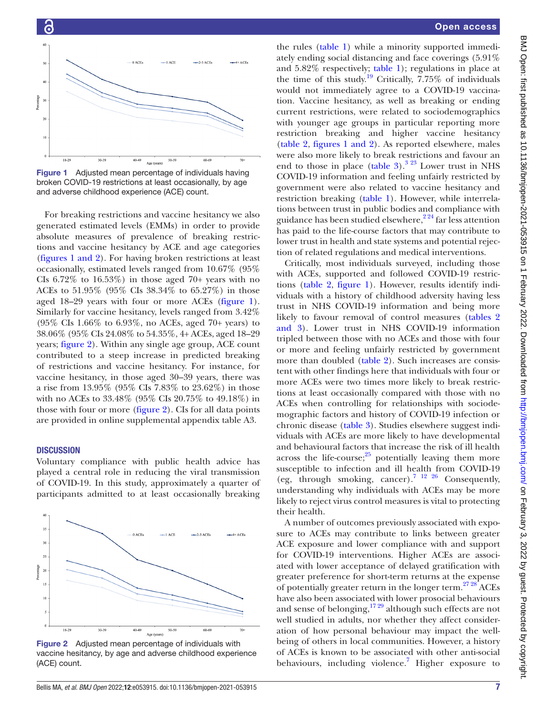



<span id="page-6-0"></span>Figure 1 Adjusted mean percentage of individuals having broken COVID-19 restrictions at least occasionally, by age and adverse childhood experience (ACE) count.

For breaking restrictions and vaccine hesitancy we also generated estimated levels (EMMs) in order to provide absolute measures of prevalence of breaking restrictions and vaccine hesitancy by ACE and age categories (figures [1 and 2](#page-6-0)). For having broken restrictions at least occasionally, estimated levels ranged from 10.67% (95% CIs  $6.72\%$  to  $16.53\%$ ) in those aged  $70+$  years with no ACEs to 51.95% (95% CIs 38.34% to 65.27%) in those aged 18–29 years with four or more ACEs [\(figure](#page-6-0) 1). Similarly for vaccine hesitancy, levels ranged from 3.42% (95% CIs 1.66% to 6.93%, no ACEs, aged 70+ years) to 38.06% (95% CIs 24.08% to 54.35%, 4+ ACEs, aged 18–29 years; [figure](#page-6-1) 2). Within any single age group, ACE count contributed to a steep increase in predicted breaking of restrictions and vaccine hesitancy. For instance, for vaccine hesitancy, in those aged 30–39 years, there was a rise from 13.95% (95% CIs 7.83% to 23.62%) in those with no ACEs to 33.48% (95% CIs 20.75% to 49.18%) in those with four or more [\(figure](#page-6-1) 2). CIs for all data points are provided in [online supplemental appendix table A3](https://dx.doi.org/10.1136/bmjopen-2021-053915).

### **DISCUSSION**

Voluntary compliance with public health advice has played a central role in reducing the viral transmission of COVID-19. In this study, approximately a quarter of participants admitted to at least occasionally breaking



<span id="page-6-1"></span>Figure 2 Adjusted mean percentage of individuals with vaccine hesitancy, by age and adverse childhood experience (ACE) count.

## Open access

the rules ([table](#page-3-0) 1) while a minority supported immediately ending social distancing and face coverings (5.91% and 5.82% respectively; [table](#page-3-0) 1); regulations in place at the time of this study.<sup>19</sup> Critically, 7.75% of individuals would not immediately agree to a COVID-19 vaccination. Vaccine hesitancy, as well as breaking or ending current restrictions, were related to sociodemographics with younger age groups in particular reporting more restriction breaking and higher vaccine hesitancy [\(table](#page-4-0) 2, figures [1 and 2\)](#page-6-0). As reported elsewhere, males were also more likely to break restrictions and favour an end to those in place ([table](#page-5-0)  $3^{3}$ .<sup>323</sup> Lower trust in NHS COVID-19 information and feeling unfairly restricted by government were also related to vaccine hesitancy and restriction breaking [\(table](#page-3-0) 1). However, while interrelations between trust in public bodies and compliance with guidance has been studied elsewhere,  $2^{24}$  far less attention has paid to the life-course factors that may contribute to lower trust in health and state systems and potential rejection of related regulations and medical interventions.

Critically, most individuals surveyed, including those with ACEs, supported and followed COVID-19 restrictions ([table](#page-4-0) 2, [figure](#page-6-0) 1). However, results identify individuals with a history of childhood adversity having less trust in NHS COVID-19 information and being more likely to favour removal of control measures ([tables](#page-4-0) 2 [and 3](#page-4-0)). Lower trust in NHS COVID-19 information tripled between those with no ACEs and those with four or more and feeling unfairly restricted by government more than doubled ([table](#page-4-0) 2). Such increases are consistent with other findings here that individuals with four or more ACEs were two times more likely to break restrictions at least occasionally compared with those with no ACEs when controlling for relationships with sociodemographic factors and history of COVID-19 infection or chronic disease [\(table](#page-5-0) 3). Studies elsewhere suggest individuals with ACEs are more likely to have developmental and behavioural factors that increase the risk of ill health across the life-course; $25$  potentially leaving them more susceptible to infection and ill health from COVID-19 (eg, through smoking, cancer).[7 12 26](#page-8-4) Consequently, understanding why individuals with ACEs may be more likely to reject virus control measures is vital to protecting their health.

A number of outcomes previously associated with exposure to ACEs may contribute to links between greater ACE exposure and lower compliance with and support for COVID-19 interventions. Higher ACEs are associated with lower acceptance of delayed gratification with greater preference for short-term returns at the expense of potentially greater return in the longer term. $2728$  ACEs have also been associated with lower prosocial behaviours and sense of belonging,  $1729$  although such effects are not well studied in adults, nor whether they affect consideration of how personal behaviour may impact the wellbeing of others in local communities. However, a history of ACEs is known to be associated with other anti-social behaviours, including violence.<sup>[7](#page-8-4)</sup> Higher exposure to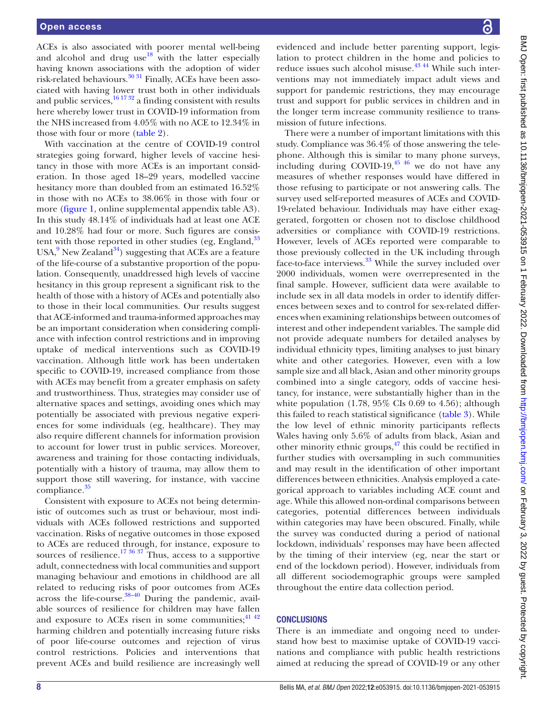ACEs is also associated with poorer mental well-being and alcohol and drug use  $18$  with the latter especially having known associations with the adoption of wider risk-related behaviours.<sup>30 31</sup> Finally, ACEs have been associated with having lower trust both in other individuals and public services, $161732$  a finding consistent with results here whereby lower trust in COVID-19 information from the NHS increased from 4.05% with no ACE to 12.34% in those with four or more [\(table](#page-4-0) 2).

With vaccination at the centre of COVID-19 control strategies going forward, higher levels of vaccine hesitancy in those with more ACEs is an important consideration. In those aged 18–29 years, modelled vaccine hesitancy more than doubled from an estimated 16.52% in those with no ACEs to 38.06% in those with four or more ([figure](#page-6-0) 1, [online supplemental appendix table A3](https://dx.doi.org/10.1136/bmjopen-2021-053915)). In this study 48.14% of individuals had at least one ACE and 10.28% had four or more. Such figures are consistent with those reported in other studies (eg, England, $33$ ) USA,<sup>[9](#page-8-12)</sup> New Zealand<sup>34</sup>) suggesting that ACEs are a feature of the life-course of a substantive proportion of the population. Consequently, unaddressed high levels of vaccine hesitancy in this group represent a significant risk to the health of those with a history of ACEs and potentially also to those in their local communities. Our results suggest that ACE-informed and trauma-informed approaches may be an important consideration when considering compliance with infection control restrictions and in improving uptake of medical interventions such as COVID-19 vaccination. Although little work has been undertaken specific to COVID-19, increased compliance from those with ACEs may benefit from a greater emphasis on safety and trustworthiness. Thus, strategies may consider use of alternative spaces and settings, avoiding ones which may potentially be associated with previous negative experiences for some individuals (eg, healthcare). They may also require different channels for information provision to account for lower trust in public services. Moreover, awareness and training for those contacting individuals, potentially with a history of trauma, may allow them to support those still wavering, for instance, with vaccine compliance.<sup>[35](#page-9-9)</sup>

Consistent with exposure to ACEs not being deterministic of outcomes such as trust or behaviour, most individuals with ACEs followed restrictions and supported vaccination. Risks of negative outcomes in those exposed to ACEs are reduced through, for instance, exposure to sources of resilience.<sup>17 36 37</sup> Thus, access to a supportive adult, connectedness with local communities and support managing behaviour and emotions in childhood are all related to reducing risks of poor outcomes from ACEs across the life-course.<sup>38-40</sup> During the pandemic, available sources of resilience for children may have fallen and exposure to ACEs risen in some communities;  $4^{142}$ harming children and potentially increasing future risks of poor life-course outcomes and rejection of virus control restrictions. Policies and interventions that prevent ACEs and build resilience are increasingly well

evidenced and include better parenting support, legislation to protect children in the home and policies to reduce issues such alcohol misuse.<sup>43 44</sup> While such interventions may not immediately impact adult views and support for pandemic restrictions, they may encourage trust and support for public services in children and in the longer term increase community resilience to transmission of future infections.

There were a number of important limitations with this study. Compliance was 36.4% of those answering the telephone. Although this is similar to many phone surveys, including during COVID-19, $45\frac{46}{10}$  we do not have any measures of whether responses would have differed in those refusing to participate or not answering calls. The survey used self-reported measures of ACEs and COVID-19-related behaviour. Individuals may have either exaggerated, forgotten or chosen not to disclose childhood adversities or compliance with COVID-19 restrictions. However, levels of ACEs reported were comparable to those previously collected in the UK including through face-to-face interviews.<sup>[33](#page-9-7)</sup> While the survey included over 2000 individuals, women were overrepresented in the final sample. However, sufficient data were available to include sex in all data models in order to identify differences between sexes and to control for sex-related differences when examining relationships between outcomes of interest and other independent variables. The sample did not provide adequate numbers for detailed analyses by individual ethnicity types, limiting analyses to just binary white and other categories. However, even with a low sample size and all black, Asian and other minority groups combined into a single category, odds of vaccine hesitancy, for instance, were substantially higher than in the white population  $(1.78, 95\% \text{ CIs } 0.69 \text{ to } 4.56)$ ; although this failed to reach statistical significance ([table](#page-5-0) 3). While the low level of ethnic minority participants reflects Wales having only 5.6% of adults from black, Asian and other minority ethnic groups, $47$  this could be rectified in further studies with oversampling in such communities and may result in the identification of other important differences between ethnicities. Analysis employed a categorical approach to variables including ACE count and age. While this allowed non-ordinal comparisons between categories, potential differences between individuals within categories may have been obscured. Finally, while the survey was conducted during a period of national lockdown, individuals' responses may have been affected by the timing of their interview (eg, near the start or end of the lockdown period). However, individuals from all different sociodemographic groups were sampled throughout the entire data collection period.

#### **CONCLUSIONS**

There is an immediate and ongoing need to understand how best to maximise uptake of COVID-19 vaccinations and compliance with public health restrictions aimed at reducing the spread of COVID-19 or any other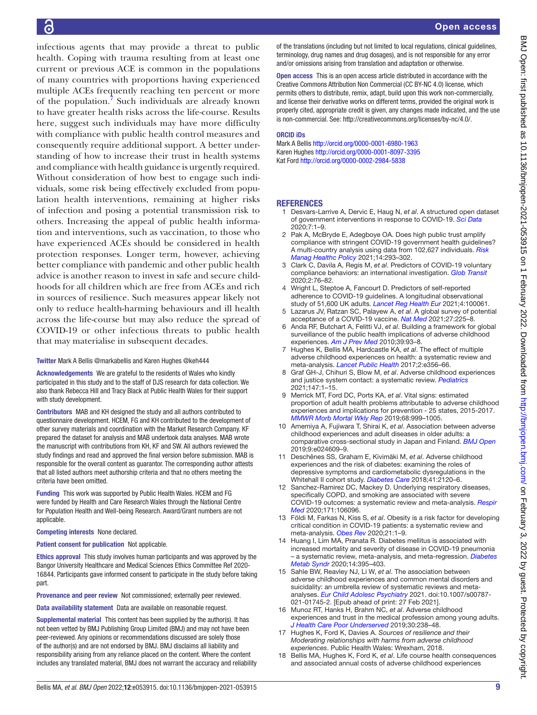infectious agents that may provide a threat to public health. Coping with trauma resulting from at least one current or previous ACE is common in the populations of many countries with proportions having experienced multiple ACEs frequently reaching ten percent or more of the population.<sup>7</sup> Such individuals are already known to have greater health risks across the life-course. Results here, suggest such individuals may have more difficulty with compliance with public health control measures and consequently require additional support. A better understanding of how to increase their trust in health systems and compliance with health guidance is urgently required. Without consideration of how best to engage such individuals, some risk being effectively excluded from population health interventions, remaining at higher risks of infection and posing a potential transmission risk to others. Increasing the appeal of public health information and interventions, such as vaccination, to those who have experienced ACEs should be considered in health protection responses. Longer term, however, achieving better compliance with pandemic and other public health advice is another reason to invest in safe and secure childhoods for all children which are free from ACEs and rich in sources of resilience. Such measures appear likely not only to reduce health-harming behaviours and ill health across the life-course but may also reduce the spread of COVID-19 or other infectious threats to public health that may materialise in subsequent decades.

#### Twitter Mark A Bellis [@markabellis](https://twitter.com/markabellis) and Karen Hughes [@keh444](https://twitter.com/keh444)

Acknowledgements We are grateful to the residents of Wales who kindly participated in this study and to the staff of DJS research for data collection. We also thank Rebecca Hill and Tracy Black at Public Health Wales for their support with study development.

Contributors MAB and KH designed the study and all authors contributed to questionnaire development. HCEM, FG and KH contributed to the development of other survey materials and coordination with the Market Research Company. KF prepared the dataset for analysis and MAB undertook data analyses. MAB wrote the manuscript with contributions from KH, KF and SW. All authors reviewed the study findings and read and approved the final version before submission. MAB is responsible for the overall content as guarantor. The corresponding author attests that all listed authors meet authorship criteria and that no others meeting the criteria have been omitted.

Funding This work was supported by Public Health Wales. HCEM and FG were funded by Health and Care Research Wales through the National Centre for Population Health and Well-being Research. Award/Grant numbers are not applicable.

#### Competing interests None declared.

#### Patient consent for publication Not applicable.

Ethics approval This study involves human participants and was approved by the Bangor University Healthcare and Medical Sciences Ethics Committee Ref 2020- 16844. Participants gave informed consent to participate in the study before taking part.

Provenance and peer review Not commissioned; externally peer reviewed.

Data availability statement Data are available on reasonable request.

Supplemental material This content has been supplied by the author(s). It has not been vetted by BMJ Publishing Group Limited (BMJ) and may not have been peer-reviewed. Any opinions or recommendations discussed are solely those of the author(s) and are not endorsed by BMJ. BMJ disclaims all liability and responsibility arising from any reliance placed on the content. Where the content includes any translated material, BMJ does not warrant the accuracy and reliability of the translations (including but not limited to local regulations, clinical guidelines, terminology, drug names and drug dosages), and is not responsible for any error and/or omissions arising from translation and adaptation or otherwise.

Open access This is an open access article distributed in accordance with the Creative Commons Attribution Non Commercial (CC BY-NC 4.0) license, which permits others to distribute, remix, adapt, build upon this work non-commercially, and license their derivative works on different terms, provided the original work is properly cited, appropriate credit is given, any changes made indicated, and the use is non-commercial. See: [http://creativecommons.org/licenses/by-nc/4.0/.](http://creativecommons.org/licenses/by-nc/4.0/)

#### ORCID iDs

Mark A Bellis<http://orcid.org/0000-0001-6980-1963> Karen Hughes<http://orcid.org/0000-0001-8097-3395> Kat Ford<http://orcid.org/0000-0002-2984-5838>

#### **REFERENCES**

- <span id="page-8-0"></span>1 Desvars-Larrive A, Dervic E, Haug N, *et al*. A structured open dataset of government interventions in response to COVID-19. *[Sci Data](http://dx.doi.org/10.1038/s41597-020-00609-9)*  $2020.71 - 9$
- <span id="page-8-1"></span>2 Pak A, McBryde E, Adegboye OA. Does high public trust amplify compliance with stringent COVID-19 government health guidelines? A multi-country analysis using data from 102,627 individuals. *[Risk](http://dx.doi.org/10.2147/RMHP.S278774)  [Manag Healthc Policy](http://dx.doi.org/10.2147/RMHP.S278774)* 2021;14:293–302.
- <span id="page-8-11"></span>3 Clark C, Davila A, Regis M, *et al*. Predictors of COVID-19 voluntary compliance behaviors: an international investigation. *[Glob Transit](http://dx.doi.org/10.1016/j.glt.2020.06.003)* 2020;2:76–82.
- 4 Wright L, Steptoe A, Fancourt D. Predictors of self-reported adherence to COVID-19 guidelines. A longitudinal observational study of 51,600 UK adults. *[Lancet Reg Health Eur](http://dx.doi.org/10.1016/j.lanepe.2021.100061)* 2021;4:100061.
- <span id="page-8-2"></span>5 Lazarus JV, Ratzan SC, Palayew A, *et al*. A global survey of potential acceptance of a COVID-19 vaccine. *[Nat Med](http://dx.doi.org/10.1038/s41591-020-1124-9)* 2021;27:225–8.
- <span id="page-8-3"></span>6 Anda RF, Butchart A, Felitti VJ, *et al*. Building a framework for global surveillance of the public health implications of adverse childhood experiences. *[Am J Prev Med](http://dx.doi.org/10.1016/j.amepre.2010.03.015)* 2010;39:93–8.
- <span id="page-8-4"></span>7 Hughes K, Bellis MA, Hardcastle KA, *et al*. The effect of multiple adverse childhood experiences on health: a systematic review and meta-analysis. *[Lancet Public Health](http://dx.doi.org/10.1016/S2468-2667(17)30118-4)* 2017;2:e356–66.
- 8 Graf GH-J, Chihuri S, Blow M, *et al*. Adverse childhood experiences and justice system contact: a systematic review. *[Pediatrics](http://dx.doi.org/10.1542/peds.2020-021030)* 2021;147:1–15.
- <span id="page-8-12"></span>9 Merrick MT, Ford DC, Ports KA, *et al*. Vital signs: estimated proportion of adult health problems attributable to adverse childhood experiences and implications for prevention - 25 states, 2015-2017. *[MMWR Morb Mortal Wkly Rep](http://dx.doi.org/10.15585/mmwr.mm6844e1)* 2019;68:999–1005.
- 10 Amemiya A, Fujiwara T, Shirai K, *et al*. Association between adverse childhood experiences and adult diseases in older adults: a comparative cross-sectional study in Japan and Finland. *[BMJ Open](http://dx.doi.org/10.1136/bmjopen-2018-024609)* 2019;9:e024609–9.
- 11 Deschênes SS, Graham E, Kivimäki M, *et al*. Adverse childhood experiences and the risk of diabetes: examining the roles of depressive symptoms and cardiometabolic dysregulations in the Whitehall II cohort study. *[Diabetes Care](http://dx.doi.org/10.2337/dc18-0932)* 2018;41:2120–6.
- <span id="page-8-5"></span>12 Sanchez-Ramirez DC, Mackey D. Underlying respiratory diseases, specifically COPD, and smoking are associated with severe COVID-19 outcomes: a systematic review and meta-analysis. *[Respir](http://dx.doi.org/10.1016/j.rmed.2020.106096)  [Med](http://dx.doi.org/10.1016/j.rmed.2020.106096)* 2020;171:106096.
- <span id="page-8-6"></span>13 Földi M, Farkas N, Kiss S, *et al*. Obesity is a risk factor for developing critical condition in COVID‐19 patients: a systematic review and meta‐analysis. *[Obes Rev](http://dx.doi.org/10.1111/obr.13095)* 2020;21:1–9.
- <span id="page-8-7"></span>14 Huang I, Lim MA, Pranata R. Diabetes mellitus is associated with increased mortality and severity of disease in COVID-19 pneumonia – a systematic review, meta-analysis, and meta-regression. *[Diabetes](http://dx.doi.org/10.1016/j.dsx.2020.04.018)  [Metab Syndr](http://dx.doi.org/10.1016/j.dsx.2020.04.018)* 2020;14:395–403.
- 15 Sahle BW, Reavley NJ, Li W, *et al*. The association between adverse childhood experiences and common mental disorders and suicidality: an umbrella review of systematic reviews and metaanalyses. *[Eur Child Adolesc Psychiatry](http://dx.doi.org/10.1007/s00787-021-01745-2)* 2021. doi:10.1007/s00787- 021-01745-2. [Epub ahead of print: 27 Feb 2021].
- <span id="page-8-8"></span>16 Munoz RT, Hanks H, Brahm NC, *et al*. Adverse childhood experiences and trust in the medical profession among young adults. *[J Health Care Poor Underserved](http://dx.doi.org/10.1353/hpu.2019.0018)* 2019;30:238–48.
- <span id="page-8-10"></span>17 Hughes K, Ford K, Davies A. *Sources of resilience and their Moderating relationships with harms from adverse childhood experiences*. Public Health Wales: Wrexham, 2018.
- <span id="page-8-9"></span>18 Bellis MA, Hughes K, Ford K, *et al*. Life course health consequences and associated annual costs of adverse childhood experiences